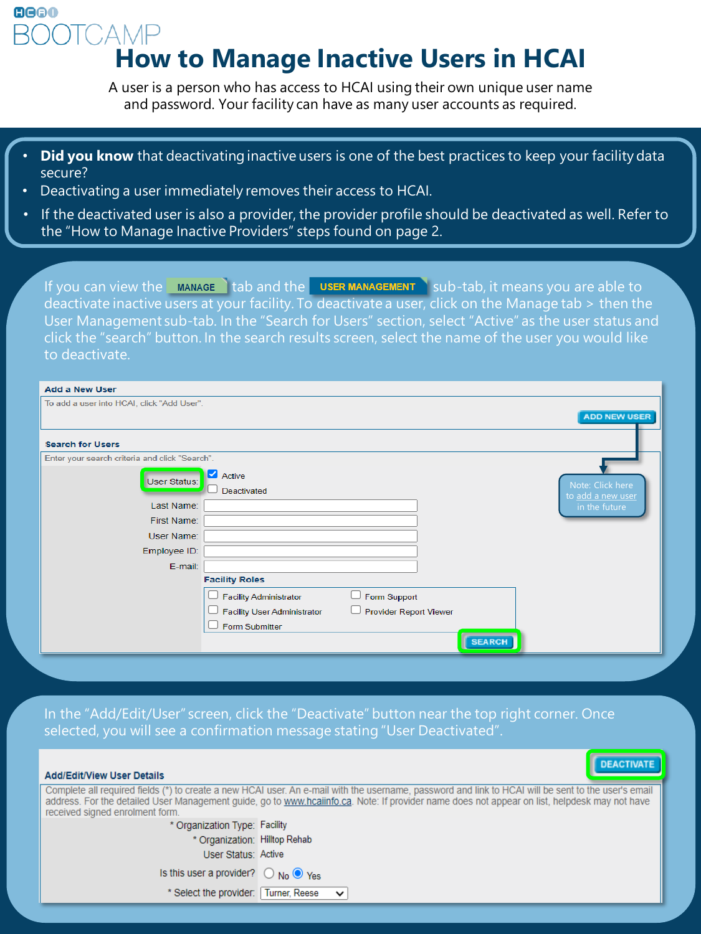## **JTCAMP How to Manage Inactive Users in HCAI**

A user is a person who has access to HCAI using their own unique user name and password. Your facility can have as many user accounts as required.

- **Did you know** that deactivating inactive users is one of the best practices to keep your facility data secure?
- Deactivating a user immediately removes their access to HCAI.

**GGGO** 

• If the deactivated user is also a provider, the provider profile should be deactivated as well. Refer to **the "Usuate Mangel"** should be deactivated as well. Refer to the "How to Manage Inactive Providers" steps found on page 2.

If you can view the  $\blacksquare$  MANAGE  $\blacksquare$  tab and the  $\blacksquare$  user MANAGEMENT  $\blacksquare$  sub-tab, it means you are able to deactivate inactive users at your facility. To deactivate a user, click on the Manage tab > then the User Management sub-tab. In the "Search for Users" section, select "Active" as the user status and click the "search" button. In the search results screen, select the name of the user you would like to deactivate.

| <b>Add a New User</b>                          |                                    |                               |               |                                    |
|------------------------------------------------|------------------------------------|-------------------------------|---------------|------------------------------------|
| To add a user into HCAI, click "Add User".     |                                    |                               |               |                                    |
|                                                |                                    |                               |               | <b>ADD NEW USER</b>                |
|                                                |                                    |                               |               |                                    |
| <b>Search for Users</b>                        |                                    |                               |               |                                    |
| Enter your search criteria and click "Search". |                                    |                               |               |                                    |
|                                                | Active                             |                               |               |                                    |
| User Status:                                   | Deactivated                        |                               |               | Note: Click here                   |
| Last Name:                                     |                                    |                               |               | to add a new user<br>in the future |
| First Name:                                    |                                    |                               |               |                                    |
| User Name:                                     |                                    |                               |               |                                    |
|                                                |                                    |                               |               |                                    |
| Employee ID:                                   |                                    |                               |               |                                    |
| E-mail:                                        |                                    |                               |               |                                    |
|                                                | <b>Facility Roles</b>              |                               |               |                                    |
|                                                | <b>Facility Administrator</b>      | Form Support                  |               |                                    |
|                                                | <b>Facility User Administrator</b> | <b>Provider Report Viewer</b> |               |                                    |
|                                                | Form Submitter                     |                               |               |                                    |
|                                                |                                    |                               | <b>SEARCH</b> |                                    |
|                                                |                                    |                               |               |                                    |

In the "Add/Edit/User" screen, click the "Deactivate" button near the top right corner. Once selected, you will see a confirmation message stating "User Deactivated".

| <b>DEACTIVATE</b><br><b>Add/Edit/View User Details</b>                                                                                                                                                                                                                                                                                  |              |  |  |
|-----------------------------------------------------------------------------------------------------------------------------------------------------------------------------------------------------------------------------------------------------------------------------------------------------------------------------------------|--------------|--|--|
| Complete all required fields (*) to create a new HCAI user. An e-mail with the username, password and link to HCAI will be sent to the user's email<br>address. For the detailed User Management guide, go to www.hcaiinfo.ca. Note: If provider name does not appear on list, helpdesk may not have<br>received signed enrolment form. |              |  |  |
| * Organization Type: Facility                                                                                                                                                                                                                                                                                                           |              |  |  |
| * Organization: Hilltop Rehab                                                                                                                                                                                                                                                                                                           |              |  |  |
| User Status: Active                                                                                                                                                                                                                                                                                                                     |              |  |  |
| Is this user a provider? $\bigcirc$ No $\bigcirc$ Yes                                                                                                                                                                                                                                                                                   |              |  |  |
| * Select the provider: Turner, Reese                                                                                                                                                                                                                                                                                                    | $\checkmark$ |  |  |
|                                                                                                                                                                                                                                                                                                                                         |              |  |  |